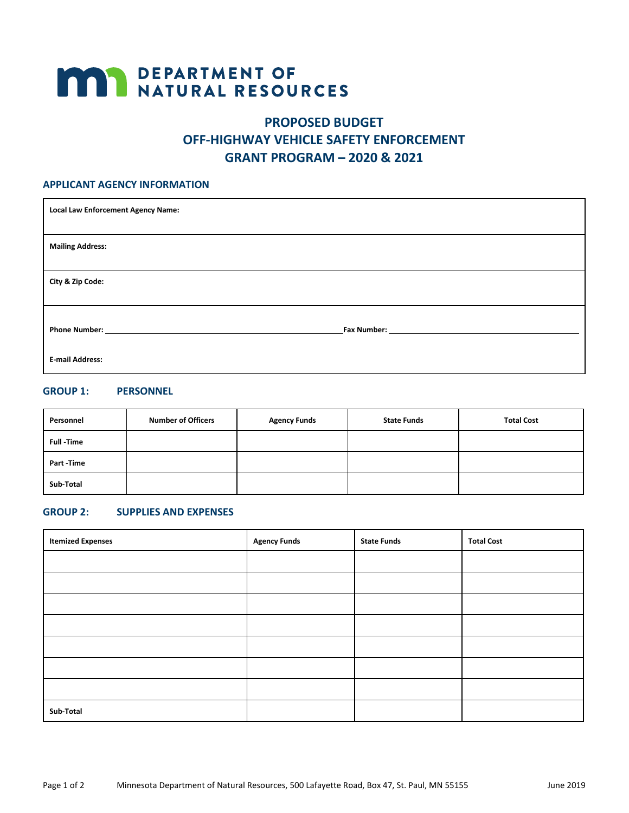# **MAY DEPARTMENT OF NATURAL RESOURCES**

# **PROPOSED BUDGET OFF-HIGHWAY VEHICLE SAFETY ENFORCEMENT GRANT PROGRAM – 2020 & 2021**

#### **APPLICANT AGENCY INFORMATION**

| <b>Local Law Enforcement Agency Name:</b> |                             |
|-------------------------------------------|-----------------------------|
| <b>Mailing Address:</b>                   |                             |
| City & Zip Code:                          |                             |
| <b>Phone Number:</b>                      | <b>Fax Number:</b> No. 1996 |
| <b>E-mail Address:</b>                    |                             |

## **GROUP 1: PERSONNEL**

| Personnel        | <b>Number of Officers</b> | <b>Agency Funds</b> | <b>State Funds</b> | <b>Total Cost</b> |
|------------------|---------------------------|---------------------|--------------------|-------------------|
| <b>Full-Time</b> |                           |                     |                    |                   |
| Part-Time        |                           |                     |                    |                   |
| Sub-Total        |                           |                     |                    |                   |

#### **GROUP 2: SUPPLIES AND EXPENSES**

| <b>Itemized Expenses</b> | <b>Agency Funds</b> | <b>State Funds</b> | <b>Total Cost</b> |
|--------------------------|---------------------|--------------------|-------------------|
|                          |                     |                    |                   |
|                          |                     |                    |                   |
|                          |                     |                    |                   |
|                          |                     |                    |                   |
|                          |                     |                    |                   |
|                          |                     |                    |                   |
|                          |                     |                    |                   |
| Sub-Total                |                     |                    |                   |